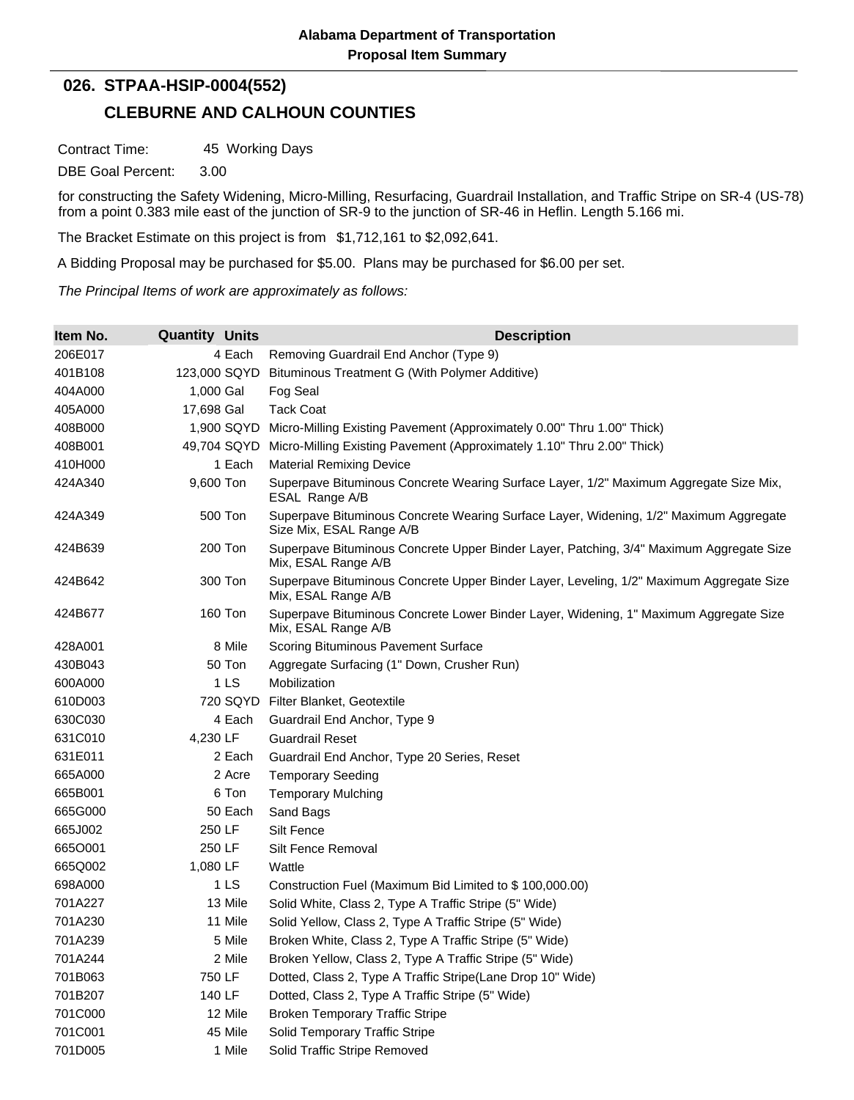## **CLEBURNE AND CALHOUN COUNTIES 026. STPAA-HSIP-0004(552)**

Contract Time: 45 Working Days

DBE Goal Percent: 3.00

for constructing the Safety Widening, Micro-Milling, Resurfacing, Guardrail Installation, and Traffic Stripe on SR-4 (US-78) from a point 0.383 mile east of the junction of SR-9 to the junction of SR-46 in Heflin. Length 5.166 mi.

The Bracket Estimate on this project is from \$1,712,161 to \$2,092,641.

A Bidding Proposal may be purchased for \$5.00. Plans may be purchased for \$6.00 per set.

*The Principal Items of work are approximately as follows:*

| Item No. | <b>Quantity Units</b> | <b>Description</b>                                                                                                |
|----------|-----------------------|-------------------------------------------------------------------------------------------------------------------|
| 206E017  | 4 Each                | Removing Guardrail End Anchor (Type 9)                                                                            |
| 401B108  | 123,000 SQYD          | Bituminous Treatment G (With Polymer Additive)                                                                    |
| 404A000  | 1,000 Gal             | Fog Seal                                                                                                          |
| 405A000  | 17,698 Gal            | <b>Tack Coat</b>                                                                                                  |
| 408B000  | 1,900 SQYD            | Micro-Milling Existing Pavement (Approximately 0.00" Thru 1.00" Thick)                                            |
| 408B001  | 49,704 SQYD           | Micro-Milling Existing Pavement (Approximately 1.10" Thru 2.00" Thick)                                            |
| 410H000  | 1 Each                | <b>Material Remixing Device</b>                                                                                   |
| 424A340  | 9,600 Ton             | Superpave Bituminous Concrete Wearing Surface Layer, 1/2" Maximum Aggregate Size Mix,<br>ESAL Range A/B           |
| 424A349  | 500 Ton               | Superpave Bituminous Concrete Wearing Surface Layer, Widening, 1/2" Maximum Aggregate<br>Size Mix, ESAL Range A/B |
| 424B639  | 200 Ton               | Superpave Bituminous Concrete Upper Binder Layer, Patching, 3/4" Maximum Aggregate Size<br>Mix, ESAL Range A/B    |
| 424B642  | 300 Ton               | Superpave Bituminous Concrete Upper Binder Layer, Leveling, 1/2" Maximum Aggregate Size<br>Mix, ESAL Range A/B    |
| 424B677  | 160 Ton               | Superpave Bituminous Concrete Lower Binder Layer, Widening, 1" Maximum Aggregate Size<br>Mix, ESAL Range A/B      |
| 428A001  | 8 Mile                | Scoring Bituminous Pavement Surface                                                                               |
| 430B043  | 50 Ton                | Aggregate Surfacing (1" Down, Crusher Run)                                                                        |
| 600A000  | 1 <sub>LS</sub>       | Mobilization                                                                                                      |
| 610D003  | 720 SQYD              | Filter Blanket, Geotextile                                                                                        |
| 630C030  | 4 Each                | Guardrail End Anchor, Type 9                                                                                      |
| 631C010  | 4,230 LF              | <b>Guardrail Reset</b>                                                                                            |
| 631E011  | 2 Each                | Guardrail End Anchor, Type 20 Series, Reset                                                                       |
| 665A000  | 2 Acre                | <b>Temporary Seeding</b>                                                                                          |
| 665B001  | 6 Ton                 | <b>Temporary Mulching</b>                                                                                         |
| 665G000  | 50 Each               | Sand Bags                                                                                                         |
| 665J002  | 250 LF                | Silt Fence                                                                                                        |
| 6650001  | 250 LF                | Silt Fence Removal                                                                                                |
| 665Q002  | 1,080 LF              | Wattle                                                                                                            |
| 698A000  | 1 <sub>LS</sub>       | Construction Fuel (Maximum Bid Limited to \$100,000.00)                                                           |
| 701A227  | 13 Mile               | Solid White, Class 2, Type A Traffic Stripe (5" Wide)                                                             |
| 701A230  | 11 Mile               | Solid Yellow, Class 2, Type A Traffic Stripe (5" Wide)                                                            |
| 701A239  | 5 Mile                | Broken White, Class 2, Type A Traffic Stripe (5" Wide)                                                            |
| 701A244  | 2 Mile                | Broken Yellow, Class 2, Type A Traffic Stripe (5" Wide)                                                           |
| 701B063  | 750 LF                | Dotted, Class 2, Type A Traffic Stripe(Lane Drop 10" Wide)                                                        |
| 701B207  | 140 LF                | Dotted, Class 2, Type A Traffic Stripe (5" Wide)                                                                  |
| 701C000  | 12 Mile               | <b>Broken Temporary Traffic Stripe</b>                                                                            |
| 701C001  | 45 Mile               | Solid Temporary Traffic Stripe                                                                                    |
| 701D005  | 1 Mile                | Solid Traffic Stripe Removed                                                                                      |